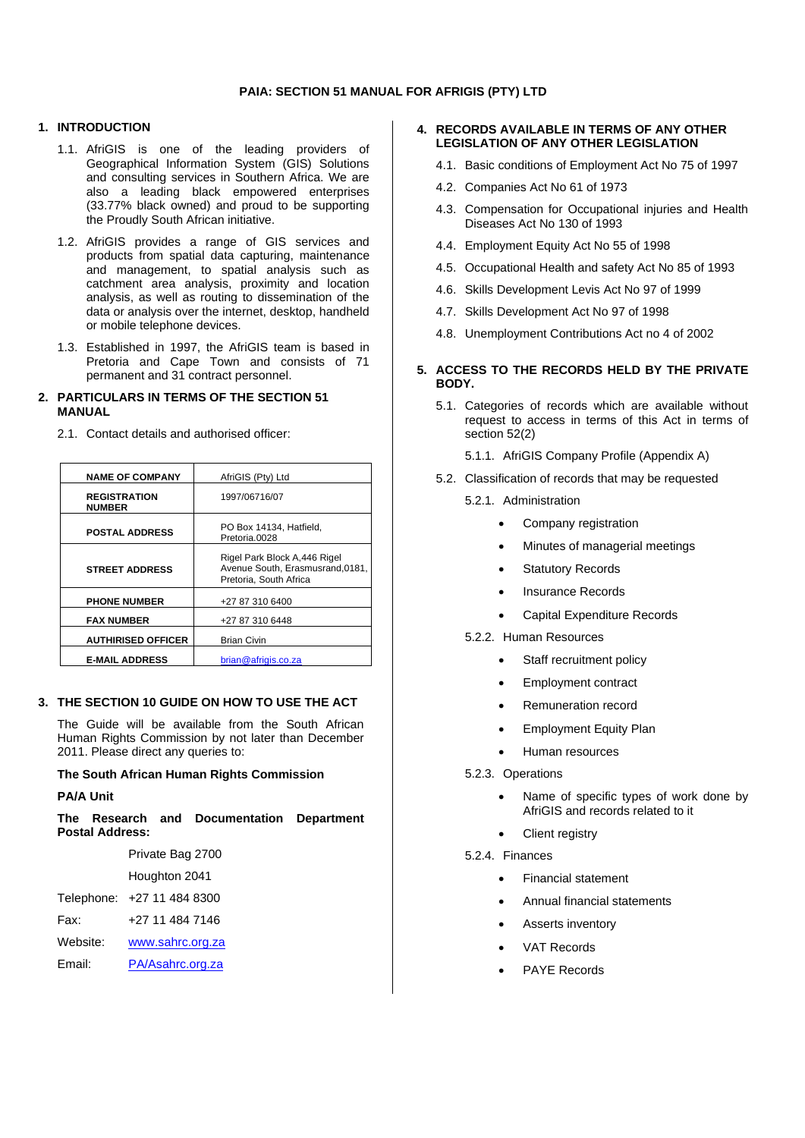## **1. INTRODUCTION**

- 1.1. AfriGIS is one of the leading providers of Geographical Information System (GIS) Solutions and consulting services in Southern Africa. We are also a leading black empowered enterprises (33.77% black owned) and proud to be supporting the Proudly South African initiative.
- 1.2. AfriGIS provides a range of GIS services and products from spatial data capturing, maintenance and management, to spatial analysis such as catchment area analysis, proximity and location analysis, as well as routing to dissemination of the data or analysis over the internet, desktop, handheld or mobile telephone devices.
- 1.3. Established in 1997, the AfriGIS team is based in Pretoria and Cape Town and consists of 71 permanent and 31 contract personnel.

### **2. PARTICULARS IN TERMS OF THE SECTION 51 MANUAL**

2.1. Contact details and authorised officer:

| <b>NAME OF COMPANY</b>               | AfriGIS (Pty) Ltd                                                                         |
|--------------------------------------|-------------------------------------------------------------------------------------------|
| <b>REGISTRATION</b><br><b>NUMBER</b> | 1997/06716/07                                                                             |
| <b>POSTAL ADDRESS</b>                | PO Box 14134, Hatfield,<br>Pretoria.0028                                                  |
| <b>STREET ADDRESS</b>                | Rigel Park Block A,446 Rigel<br>Avenue South. Erasmusrand.0181.<br>Pretoria. South Africa |
| <b>PHONE NUMBER</b>                  | +27 87 310 6400                                                                           |
| <b>FAX NUMBER</b>                    | +27 87 310 6448                                                                           |
| <b>AUTHIRISED OFFICER</b>            | <b>Brian Civin</b>                                                                        |
| <b>E-MAIL ADDRESS</b>                | brian@afrigis.co.za                                                                       |

### **3. THE SECTION 10 GUIDE ON HOW TO USE THE ACT**

The Guide will be available from the South African Human Rights Commission by not later than December 2011. Please direct any queries to:

#### **The South African Human Rights Commission**

#### **PA/A Unit**

**The Research and Documentation Department Postal Address:**

|          | Private Bag 2700           |  |
|----------|----------------------------|--|
|          | Houghton 2041              |  |
|          | Telephone: +27 11 484 8300 |  |
| Fax:     | +27 11 484 7146            |  |
| Website: | www.sahrc.org.za           |  |
| Email:   | PA/Asahrc.org.za           |  |

### **4. RECORDS AVAILABLE IN TERMS OF ANY OTHER LEGISLATION OF ANY OTHER LEGISLATION**

- 4.1. Basic conditions of Employment Act No 75 of 1997
- 4.2. Companies Act No 61 of 1973
- 4.3. Compensation for Occupational injuries and Health Diseases Act No 130 of 1993
- 4.4. Employment Equity Act No 55 of 1998
- 4.5. Occupational Health and safety Act No 85 of 1993
- 4.6. Skills Development Levis Act No 97 of 1999
- 4.7. Skills Development Act No 97 of 1998
- 4.8. Unemployment Contributions Act no 4 of 2002

## **5. ACCESS TO THE RECORDS HELD BY THE PRIVATE BODY.**

- 5.1. Categories of records which are available without request to access in terms of this Act in terms of section 52(2)
	- 5.1.1. AfriGIS Company Profile (Appendix A)
- 5.2. Classification of records that may be requested
	- 5.2.1. Administration
		- Company registration
		- Minutes of managerial meetings
		- **Statutory Records**
		- Insurance Records
		- Capital Expenditure Records

#### 5.2.2. Human Resources

- Staff recruitment policy
- Employment contract
- Remuneration record
- Employment Equity Plan
- Human resources

#### 5.2.3. Operations

- Name of specific types of work done by AfriGIS and records related to it
- Client registry

### 5.2.4. Finances

- Financial statement
- Annual financial statements
- Asserts inventory
- **VAT Records**
- PAYE Records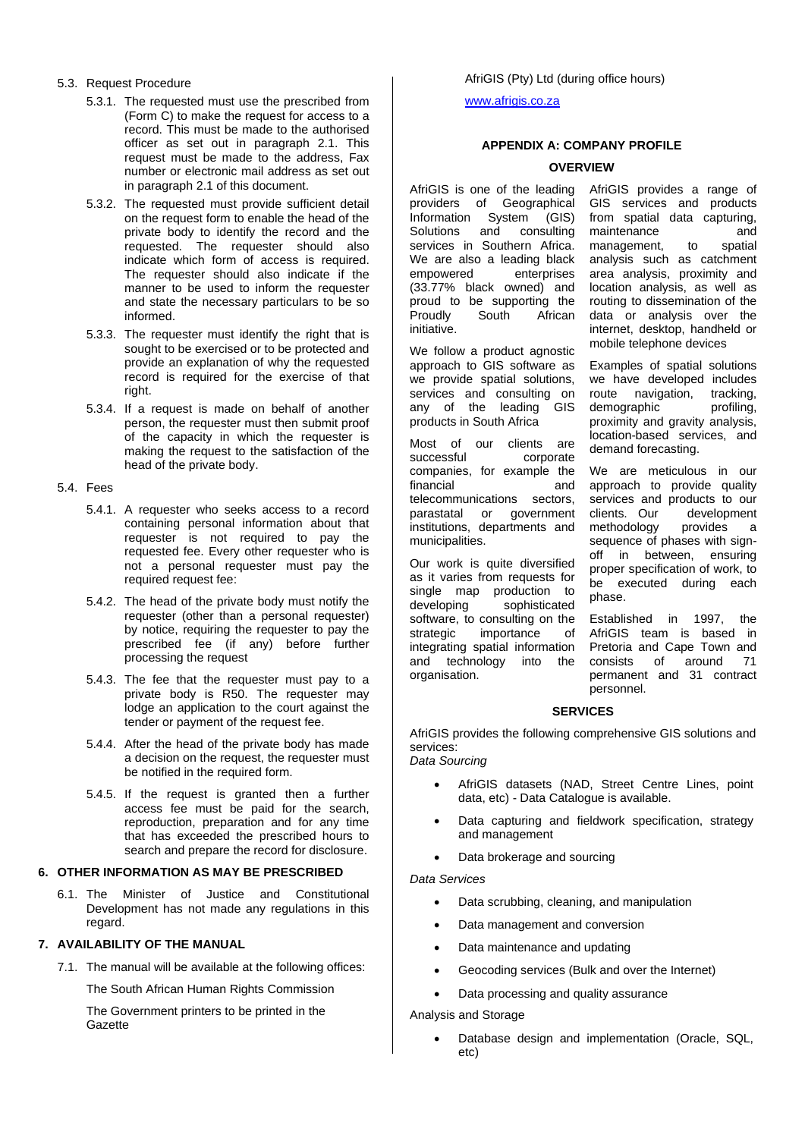### 5.3. Request Procedure

- 5.3.1. The requested must use the prescribed from (Form C) to make the request for access to a record. This must be made to the authorised officer as set out in paragraph 2.1. This request must be made to the address, Fax number or electronic mail address as set out in paragraph 2.1 of this document.
- 5.3.2. The requested must provide sufficient detail on the request form to enable the head of the private body to identify the record and the requested. The requester should also indicate which form of access is required. The requester should also indicate if the manner to be used to inform the requester and state the necessary particulars to be so informed.
- 5.3.3. The requester must identify the right that is sought to be exercised or to be protected and provide an explanation of why the requested record is required for the exercise of that right.
- 5.3.4. If a request is made on behalf of another person, the requester must then submit proof of the capacity in which the requester is making the request to the satisfaction of the head of the private body.

#### 5.4. Fees

- 5.4.1. A requester who seeks access to a record containing personal information about that requester is not required to pay the requested fee. Every other requester who is not a personal requester must pay the required request fee:
- 5.4.2. The head of the private body must notify the requester (other than a personal requester) by notice, requiring the requester to pay the prescribed fee (if any) before further processing the request
- 5.4.3. The fee that the requester must pay to a private body is R50. The requester may lodge an application to the court against the tender or payment of the request fee.
- 5.4.4. After the head of the private body has made a decision on the request, the requester must be notified in the required form.
- 5.4.5. If the request is granted then a further access fee must be paid for the search, reproduction, preparation and for any time that has exceeded the prescribed hours to search and prepare the record for disclosure.

#### **6. OTHER INFORMATION AS MAY BE PRESCRIBED**

6.1. The Minister of Justice and Constitutional Development has not made any regulations in this regard.

## **7. AVAILABILITY OF THE MANUAL**

7.1. The manual will be available at the following offices:

The South African Human Rights Commission

The Government printers to be printed in the Gazette

[www.afrigis.co.za](http://www.afrigis.co.za/)

## **APPENDIX A: COMPANY PROFILE**

## **OVERVIEW**

AfriGIS is one of the leading providers of Geographical<br>Information System (GIS) Information System (GIS)<br>Solutions and consulting Solutions services in Southern Africa. We are also a leading black<br>empowered enterprises empowered (33.77% black owned) and proud to be supporting the<br>Proudly South African African initiative.

We follow a product agnostic approach to GIS software as we provide spatial solutions, services and consulting on any of the leading GIS products in South Africa

Most of our clients are successful corporate companies, for example the financial telecommunications sectors, parastatal or government institutions, departments and municipalities.

Our work is quite diversified as it varies from requests for single map production to developing sophisticated software, to consulting on the<br>strategic importance of importance of integrating spatial information and technology into the organisation.

AfriGIS provides a range of GIS services and products from spatial data capturing, maintenance and<br>management, to spatial management, analysis such as catchment area analysis, proximity and location analysis, as well as routing to dissemination of the data or analysis over the internet, desktop, handheld or mobile telephone devices

Examples of spatial solutions we have developed includes route navigation, tracking,<br>demographic profiling, demographic proximity and gravity analysis, location-based services, and demand forecasting.

We are meticulous in our approach to provide quality services and products to our<br>clients. Our development development<br>provides a methodology provides a sequence of phases with signoff in between, ensuring proper specification of work, to be executed during each phase.

Established in 1997, the AfriGIS team is based in Pretoria and Cape Town and<br>consists of around 71 consists of permanent and 31 contract personnel.

## **SERVICES**

AfriGIS provides the following comprehensive GIS solutions and services:

*Data Sourcing*

- AfriGIS datasets (NAD, Street Centre Lines, point data, etc) - Data Catalogue is available.
- Data capturing and fieldwork specification, strategy and management
- Data brokerage and sourcing

## *Data Services*

- Data scrubbing, cleaning, and manipulation
- Data management and conversion
- Data maintenance and updating
- Geocoding services (Bulk and over the Internet)
- Data processing and quality assurance

# Analysis and Storage

• Database design and implementation (Oracle, SQL, etc)